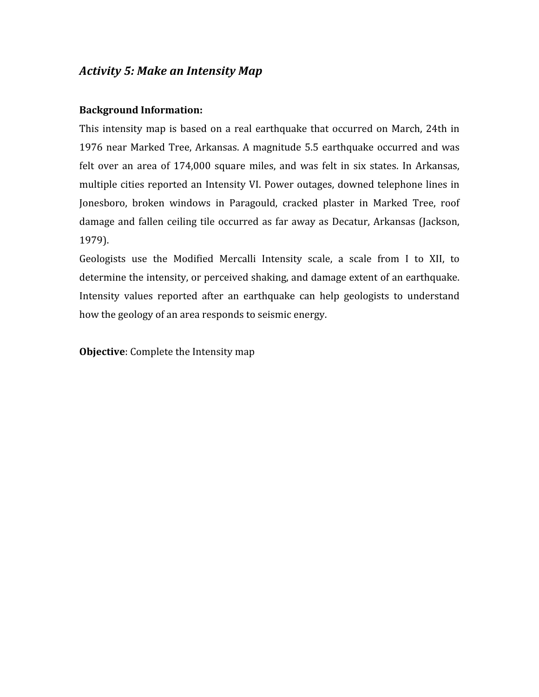## *Activity
5:
Make
an
Intensity
Map*

## **Background
Information:**

This intensity map is based on a real earthquake that occurred on March, 24th in 1976
 near
Marked
Tree,
Arkansas.
A
magnitude
 5.5
earthquake
 occurred
and
was felt over an area of 174,000 square miles, and was felt in six states. In Arkansas, multiple
cities
reported
an
 Intensity
VI.
Power
outages,
downed
 telephone
lines
in Jonesboro, broken windows in Paragould, cracked plaster in Marked Tree, roof damage and fallen ceiling tile occurred as far away as Decatur, Arkansas (Jackson, 1979).

Geologists use the Modified Mercalli Intensity scale, a scale from I to XII, to determine the intensity, or perceived shaking, and damage extent of an earthquake. Intensity values reported after an earthquake can help geologists to understand how the geology of an area responds to seismic energy.

**Objective:** Complete the Intensity map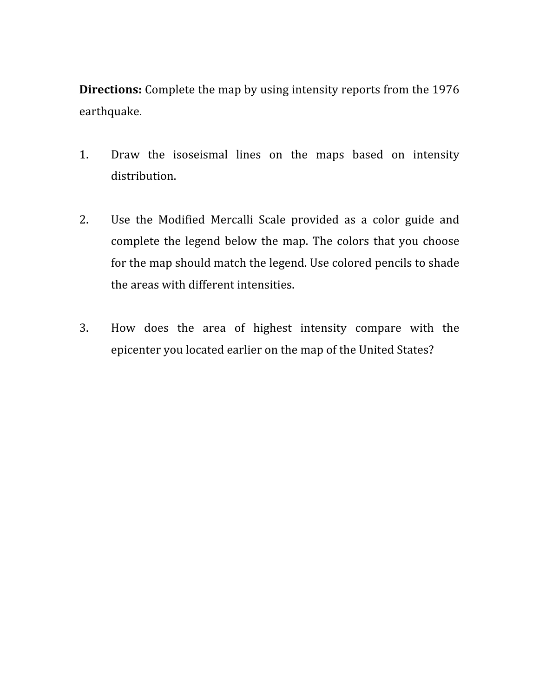**Directions:** Complete the map by using intensity reports from the 1976 earthquake.

- 1. Draw the isoseismal lines on the maps based on intensity distribution.
- 2. Use the Modified Mercalli Scale provided as a color guide and complete the legend below the map. The colors that you choose for
the
map
should
match
the
legend.
Use
colored
pencils
to
shade the
areas
with
different
intensities.
- 3. How
 does
 the
 area
 of
 highest
 intensity
 compare
 with
 the epicenter
you
located
earlier
on
the
map
of
the
United
States?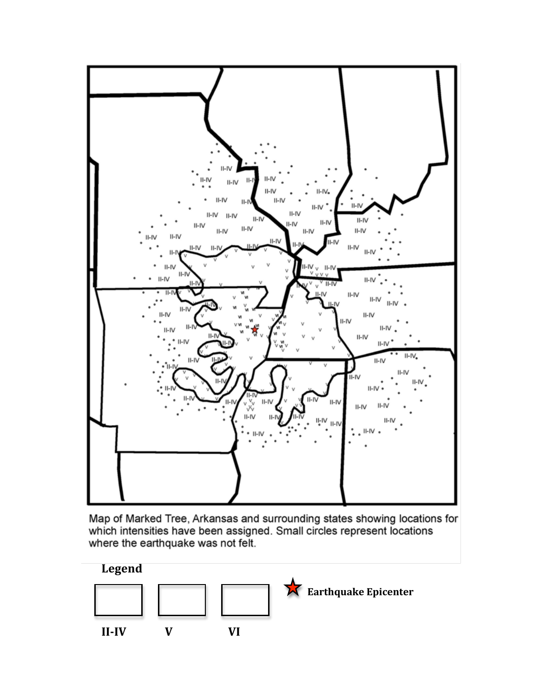

Map of Marked Tree, Arkansas and surrounding states showing locations for which intensities have been assigned. Small circles represent locations where the earthquake was not felt.